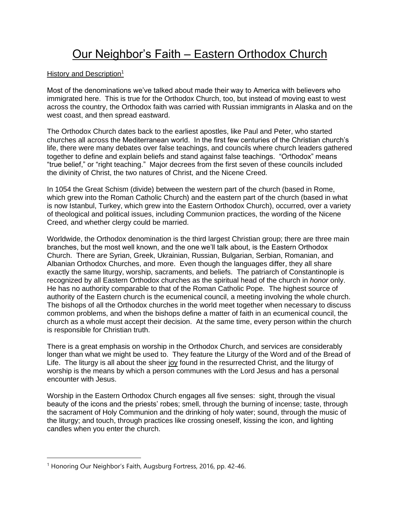## Our Neighbor's Faith – Eastern Orthodox Church

## History and Description<sup>1</sup>

Most of the denominations we've talked about made their way to America with believers who immigrated here. This is true for the Orthodox Church, too, but instead of moving east to west across the country, the Orthodox faith was carried with Russian immigrants in Alaska and on the west coast, and then spread eastward.

The Orthodox Church dates back to the earliest apostles, like Paul and Peter, who started churches all across the Mediterranean world. In the first few centuries of the Christian church's life, there were many debates over false teachings, and councils where church leaders gathered together to define and explain beliefs and stand against false teachings. "Orthodox" means "true belief," or "right teaching." Major decrees from the first seven of these councils included the divinity of Christ, the two natures of Christ, and the Nicene Creed.

In 1054 the Great Schism (divide) between the western part of the church (based in Rome, which grew into the Roman Catholic Church) and the eastern part of the church (based in what is now Istanbul, Turkey, which grew into the Eastern Orthodox Church), occurred, over a variety of theological and political issues, including Communion practices, the wording of the Nicene Creed, and whether clergy could be married.

Worldwide, the Orthodox denomination is the third largest Christian group; there are three main branches, but the most well known, and the one we'll talk about, is the Eastern Orthodox Church. There are Syrian, Greek, Ukrainian, Russian, Bulgarian, Serbian, Romanian, and Albanian Orthodox Churches, and more. Even though the languages differ, they all share exactly the same liturgy, worship, sacraments, and beliefs. The patriarch of Constantinople is recognized by all Eastern Orthodox churches as the spiritual head of the church in *honor* only. He has no authority comparable to that of the Roman Catholic Pope. The highest source of authority of the Eastern church is the ecumenical council, a meeting involving the whole church. The bishops of all the Orthodox churches in the world meet together when necessary to discuss common problems, and when the bishops define a matter of faith in an ecumenical council, the church as a whole must accept their decision. At the same time, every person within the church is responsible for Christian truth.

There is a great emphasis on worship in the Orthodox Church, and services are considerably longer than what we might be used to. They feature the Liturgy of the Word and of the Bread of Life. The liturgy is all about the sheer joy found in the resurrected Christ, and the liturgy of worship is the means by which a person communes with the Lord Jesus and has a personal encounter with Jesus.

Worship in the Eastern Orthodox Church engages all five senses: sight, through the visual beauty of the icons and the priests' robes; smell, through the burning of incense; taste, through the sacrament of Holy Communion and the drinking of holy water; sound, through the music of the liturgy; and touch, through practices like crossing oneself, kissing the icon, and lighting candles when you enter the church.

<sup>&</sup>lt;sup>1</sup> Honoring Our Neighbor's Faith, Augsburg Fortress, 2016, pp. 42-46.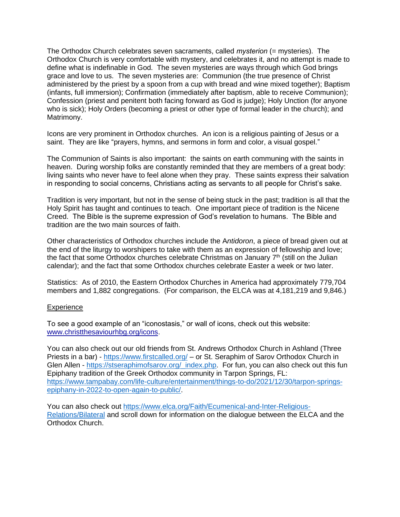The Orthodox Church celebrates seven sacraments, called *mysterion* (= mysteries). The Orthodox Church is very comfortable with mystery, and celebrates it, and no attempt is made to define what is indefinable in God. The seven mysteries are ways through which God brings grace and love to us. The seven mysteries are: Communion (the true presence of Christ administered by the priest by a spoon from a cup with bread and wine mixed together); Baptism (infants, full immersion); Confirmation (immediately after baptism, able to receive Communion); Confession (priest and penitent both facing forward as God is judge); Holy Unction (for anyone who is sick); Holy Orders (becoming a priest or other type of formal leader in the church); and Matrimony.

Icons are very prominent in Orthodox churches. An icon is a religious painting of Jesus or a saint. They are like "prayers, hymns, and sermons in form and color, a visual gospel."

The Communion of Saints is also important: the saints on earth communing with the saints in heaven. During worship folks are constantly reminded that they are members of a great body: living saints who never have to feel alone when they pray. These saints express their salvation in responding to social concerns, Christians acting as servants to all people for Christ's sake.

Tradition is very important, but not in the sense of being stuck in the past; tradition is all that the Holy Spirit has taught and continues to teach. One important piece of tradition is the Nicene Creed. The Bible is the supreme expression of God's revelation to humans. The Bible and tradition are the two main sources of faith.

Other characteristics of Orthodox churches include the A*ntidoron*, a piece of bread given out at the end of the liturgy to worshipers to take with them as an expression of fellowship and love; the fact that some Orthodox churches celebrate Christmas on January  $7<sup>th</sup>$  (still on the Julian calendar); and the fact that some Orthodox churches celebrate Easter a week or two later.

Statistics: As of 2010, the Eastern Orthodox Churches in America had approximately 779,704 members and 1,882 congregations. (For comparison, the ELCA was at 4,181,219 and 9,846.)

## Experience

To see a good example of an "iconostasis," or wall of icons, check out this website: www.christthesaviourhbg.org/icons.

You can also check out our old friends from St. Andrews Orthodox Church in Ashland (Three Priests in a bar) - https://www.firstcalled.org/ – or St. Seraphim of Sarov Orthodox Church in Glen Allen - https://stseraphimofsarov.org/\_index.php. For fun, you can also check out this fun Epiphany tradition of the Greek Orthodox community in Tarpon Springs, FL: https://www.tampabay.com/life-culture/entertainment/things-to-do/2021/12/30/tarpon-springsepiphany-in-2022-to-open-again-to-public/.

You can also check out https://www.elca.org/Faith/Ecumenical-and-Inter-Religious-Relations/Bilateral and scroll down for information on the dialogue between the ELCA and the Orthodox Church.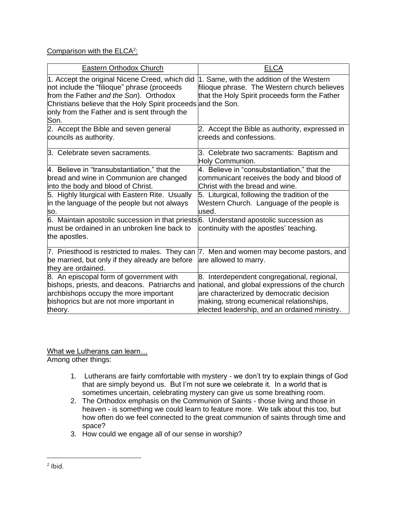## Comparison with the ELCA<sup>2</sup>:

| Eastern Orthodox Church                                                                                                                                                                                                                                          | <b>ELCA</b>                                                                                                                                |
|------------------------------------------------------------------------------------------------------------------------------------------------------------------------------------------------------------------------------------------------------------------|--------------------------------------------------------------------------------------------------------------------------------------------|
| 1. Accept the original Nicene Creed, which did<br>not include the "filioque" phrase (proceeds<br>from the Father and the Son). Orthodox<br>Christians believe that the Holy Spirit proceeds and the Son.<br>only from the Father and is sent through the<br>Son. | 1. Same, with the addition of the Western<br>filioque phrase. The Western church believes<br>that the Holy Spirit proceeds form the Father |
| 2. Accept the Bible and seven general                                                                                                                                                                                                                            | 2. Accept the Bible as authority, expressed in                                                                                             |
| councils as authority.                                                                                                                                                                                                                                           | creeds and confessions.                                                                                                                    |
| 3. Celebrate seven sacraments.                                                                                                                                                                                                                                   | 3. Celebrate two sacraments: Baptism and<br>Holy Communion.                                                                                |
| 4. Believe in "transubstantiation," that the                                                                                                                                                                                                                     | 4. Believe in "consubstantiation," that the                                                                                                |
| bread and wine in Communion are changed                                                                                                                                                                                                                          | communicant receives the body and blood of                                                                                                 |
| into the body and blood of Christ.                                                                                                                                                                                                                               | Christ with the bread and wine.                                                                                                            |
| 5. Highly liturgical with Eastern Rite. Usually                                                                                                                                                                                                                  | 5. Liturgical, following the tradition of the                                                                                              |
| in the language of the people but not always                                                                                                                                                                                                                     | Western Church. Language of the people is                                                                                                  |
| SO.                                                                                                                                                                                                                                                              | used.                                                                                                                                      |
| 6. Maintain apostolic succession in that priests 6. Understand apostolic succession as<br>must be ordained in an unbroken line back to<br>the apostles.                                                                                                          | continuity with the apostles' teaching.                                                                                                    |
| be married, but only if they already are before                                                                                                                                                                                                                  | 7. Priesthood is restricted to males. They can  7. Men and women may become pastors, and                                                   |
| they are ordained.                                                                                                                                                                                                                                               | are allowed to marry.                                                                                                                      |
| 8. An episcopal form of government with                                                                                                                                                                                                                          | 8. Interdependent congregational, regional,                                                                                                |
| bishops, priests, and deacons. Patriarchs and                                                                                                                                                                                                                    | national, and global expressions of the church                                                                                             |
| archbishops occupy the more important                                                                                                                                                                                                                            | are characterized by democratic decision                                                                                                   |
| bishoprics but are not more important in                                                                                                                                                                                                                         | making, strong ecumenical relationships,                                                                                                   |
| theory.                                                                                                                                                                                                                                                          | elected leadership, and an ordained ministry.                                                                                              |

What we Lutherans can learn… Among other things:

- 1. Lutherans are fairly comfortable with mystery we don't try to explain things of God that are simply beyond us. But I'm not sure we celebrate it. In a world that is sometimes uncertain, celebrating mystery can give us some breathing room.
- 2. The Orthodox emphasis on the Communion of Saints those living and those in heaven - is something we could learn to feature more. We talk about this too, but how often do we feel connected to the great communion of saints through time and space?
- 3. How could we engage all of our sense in worship?

 $2$  lbid.